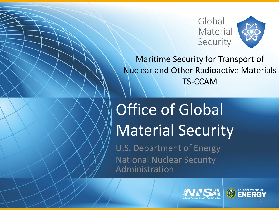

Maritime Security for Transport of Nuclear and Other Radioactive Materials TS-CCAM

# Office of Global Material Security

U.S. Department of Energy National Nuclear Security Administration



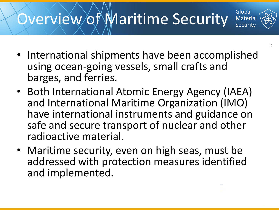### Overview of Maritime Security

- International shipments have been accomplished using ocean-going vessels, small crafts and barges, and ferries.
- Both International Atomic Energy Agency (IAEA) and International Maritime Organization (IMO) have international instruments and guidance on safe and secure transport of nuclear and other radioactive material.
- Maritime security, even on high seas, must be addressed with protection measures identified and implemented.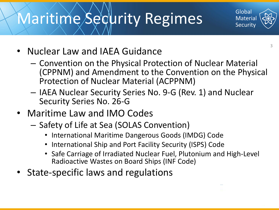#### Maritime Security Regimes

- Nuclear Law and IAEA Guidance
	- Convention on the Physical Protection of Nuclear Material (CPPNM) and Amendment to the Convention on the Physical Protection of Nuclear Material (ACPPNM)
	- IAEA Nuclear Security Series No. 9-G (Rev. 1) and Nuclear Security Series No. 26-G
- Maritime Law and IMO Codes
	- Safety of Life at Sea (SOLAS Convention)
		- International Maritime Dangerous Goods (IMDG) Code
		- International Ship and Port Facility Security (ISPS) Code
		- Safe Carriage of Irradiated Nuclear Fuel, Plutonium and High-Level Radioactive Wastes on Board Ships (INF Code)
- State-specific laws and regulations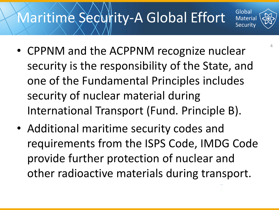#### Maritime Secultity-A Global Effort



• Additional maritime security codes and requirements from the ISPS Code, IMDG Code provide further protection of nuclear and other radioactive materials during transport.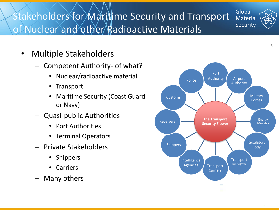#### Stakeholders for Maritime Security and Transport of Nuclear and other Radioactive Materials



- Competent Authority- of what?
	- Nuclear/radioactive material
	- Transport
	- Maritime Security (Coast Guard or Navy)
- Quasi-public Authorities
	- Port Authorities
	- Terminal Operators
- Private Stakeholders
	- Shippers
	- Carriers
- Many others

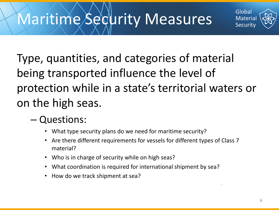#### Maritime Security Measures

Type, quantities, and categories of material being transported influence the level of protection while in a state's territorial waters or on the high seas.

#### – Questions:

- What type security plans do we need for maritime security?
- Are there different requirements for vessels for different types of Class 7 material?
- Who is in charge of security while on high seas?
- What coordination is required for international shipment by sea?
- How do we track shipment at sea?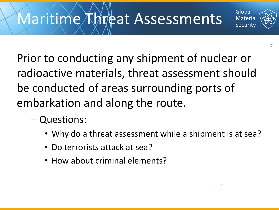

- Questions:
	- Why do a threat assessment while a shipment is at sea?
	- Do terrorists attack at sea?
	- How about criminal elements?



7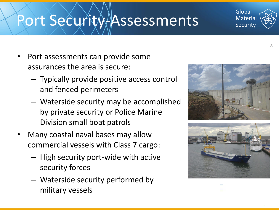### Port Security/Assessments

- Port assessments can provide some assurances the area is secure:
	- Typically provide positive access control and fenced perimeters
	- Waterside security may be accomplished by private security or Police Marine Division small boat patrols
- Many coastal naval bases may allow commercial vessels with Class 7 cargo:
	- High security port-wide with active security forces
	- Waterside security performed by military vessels



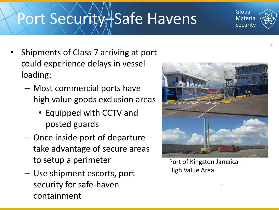#### Port Security + Safe Havens

- Shipments of Class 7 arriving at port could experience delays in vessel loading:
	- Most commercial ports have high value goods exclusion areas
		- Equipped with CCTV and posted guards
	- Once inside port of departure take advantage of secure areas to setup a perimeter
	- Use shipment escorts, port security for safe-haven containment



High Value Area

 $Q$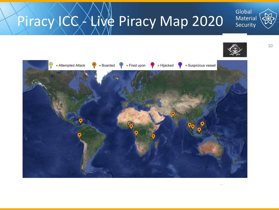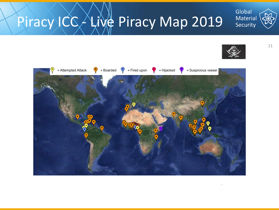

# Piracy ICC Live Piracy Map 2019





11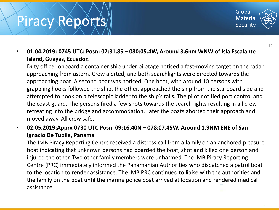#### Piracy Reports



• **01.04.2019: 0745 UTC: Posn: 02:31.8S – 080:05.4W, Around 3.6nm WNW of Isla Escalante Island, Guayas, Ecuador.**

Duty officer onboard a container ship under pilotage noticed a fast-moving target on the radar approaching from astern. Crew alerted, and both searchlights were directed towards the approaching boat. A second boat was noticed. One boat, with around 10 persons with grappling hooks followed the ship, the other, approached the ship from the starboard side and attempted to hook on a telescopic ladder to the ship's rails. The pilot notified port control and the coast guard. The persons fired a few shots towards the search lights resulting in all crew retreating into the bridge and accommodation. Later the boats aborted their approach and moved away. All crew safe.

• **02.05.2019:Apprx 0730 UTC Posn: 09:16.40N – 078:07.45W, Around 1.9NM ENE of San Ignacio De Tupile, Panama**

The IMB Piracy Reporting Centre received a distress call from a family on an anchored pleasure boat indicating that unknown persons had boarded the boat, shot and killed one person and injured the other. Two other family members were unharmed. The IMB Piracy Reporting Centre (PRC) immediately informed the Panamanian Authorities who dispatched a patrol boat to the location to render assistance. The IMB PRC continued to liaise with the authorities and the family on the boat until the marine police boat arrived at location and rendered medical assistance.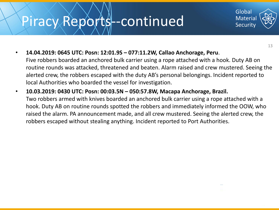#### Piracy Reports--continued



13

• **14.04.2019: 0645 UTC: Posn: 12:01.9S – 077:11.2W, Callao Anchorage, Peru**.

Five robbers boarded an anchored bulk carrier using a rope attached with a hook. Duty AB on routine rounds was attacked, threatened and beaten. Alarm raised and crew mustered. Seeing the alerted crew, the robbers escaped with the duty AB's personal belongings. Incident reported to local Authorities who boarded the vessel for investigation.

• **10.03.2019: 0430 UTC: Posn: 00:03.5N – 050:57.8W, Macapa Anchorage, Brazil.** Two robbers armed with knives boarded an anchored bulk carrier using a rope attached with a hook. Duty AB on routine rounds spotted the robbers and immediately informed the OOW, who raised the alarm. PA announcement made, and all crew mustered. Seeing the alerted crew, the robbers escaped without stealing anything. Incident reported to Port Authorities.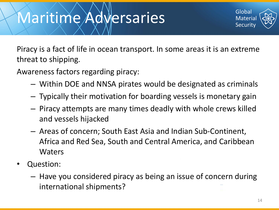#### Maritime Adversaries



Piracy is a fact of life in ocean transport. In some areas it is an extreme threat to shipping.

Awareness factors regarding piracy:

- Within DOE and NNSA pirates would be designated as criminals
- Typically their motivation for boarding vessels is monetary gain
- Piracy attempts are many times deadly with whole crews killed and vessels hijacked
- Areas of concern; South East Asia and Indian Sub-Continent, Africa and Red Sea, South and Central America, and Caribbean Waters
- Question:
	- Have you considered piracy as being an issue of concern during international shipments?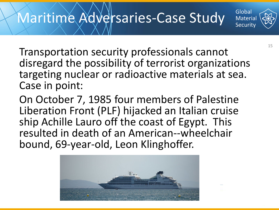

On October 7, 1985 four members of Palestine Liberation Front (PLF) hijacked an Italian cruise ship Achille Lauro off the coast of Egypt. This resulted in death of an American--wheelchair bound, 69-year-old, Leon Klinghoffer.

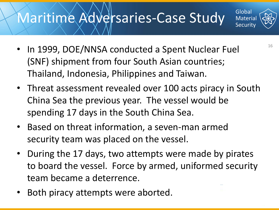#### Maritime Adversaries-Case Study

- In 1999, DOE/NNSA conducted a Spent Nuclear Fuel (SNF) shipment from four South Asian countries; Thailand, Indonesia, Philippines and Taiwan.
- Threat assessment revealed over 100 acts piracy in South China Sea the previous year. The vessel would be spending 17 days in the South China Sea.
- Based on threat information, a seven-man armed security team was placed on the vessel.
- During the 17 days, two attempts were made by pirates to board the vessel. Force by armed, uniformed security team became a deterrence.
- Both piracy attempts were aborted.